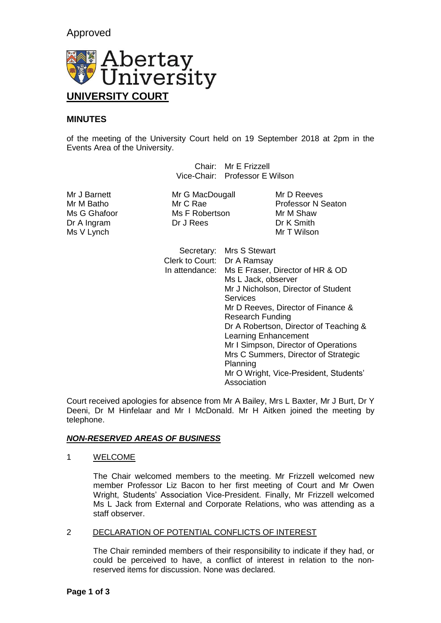# Approved



## **MINUTES**

of the meeting of the University Court held on 19 September 2018 at 2pm in the Events Area of the University.

> Chair: Mr E Frizzell Vice-Chair: Professor E Wilson

Dr A Ingram Dr J Rees Dr J New Dr K Smith<br>
Ms V I vnch Ms V Lynch

Mr J Barnett **Mr G MacDougall** Mr D Reeves Ms G Ghafoor Ms F Robertson Mr M Shaw<br>
Dr A Ingram
Dr C Dr J Rees
Dr K Smith

Mr M Batho Mr C Rae Professor N Seaton

| Secretary:                  | Mrs S Stewart                          |
|-----------------------------|----------------------------------------|
| Clerk to Court: Dr A Ramsay |                                        |
| In attendance:              | Ms E Fraser, Director of HR & OD       |
|                             | Ms L Jack, observer                    |
|                             | Mr J Nicholson, Director of Student    |
|                             | <b>Services</b>                        |
|                             | Mr D Reeves, Director of Finance &     |
|                             | <b>Research Funding</b>                |
|                             | Dr A Robertson, Director of Teaching & |
|                             | Learning Enhancement                   |
|                             | Mr I Simpson, Director of Operations   |
|                             | Mrs C Summers, Director of Strategic   |
|                             | Planning                               |
|                             | Mr O Wright, Vice-President, Students' |
|                             | Association                            |

Court received apologies for absence from Mr A Bailey, Mrs L Baxter, Mr J Burt, Dr Y Deeni, Dr M Hinfelaar and Mr I McDonald. Mr H Aitken joined the meeting by telephone.

### *NON-RESERVED AREAS OF BUSINESS*

#### 1 WELCOME

The Chair welcomed members to the meeting. Mr Frizzell welcomed new member Professor Liz Bacon to her first meeting of Court and Mr Owen Wright, Students' Association Vice-President. Finally, Mr Frizzell welcomed Ms L Jack from External and Corporate Relations, who was attending as a staff observer.

#### 2 DECLARATION OF POTENTIAL CONFLICTS OF INTEREST

The Chair reminded members of their responsibility to indicate if they had, or could be perceived to have, a conflict of interest in relation to the nonreserved items for discussion. None was declared.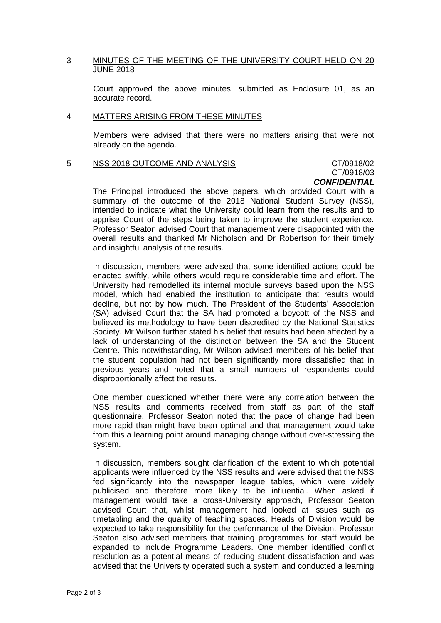#### 3 MINUTES OF THE MEETING OF THE UNIVERSITY COURT HELD ON 20 JUNE 2018

Court approved the above minutes, submitted as Enclosure 01, as an accurate record.

#### 4 MATTERS ARISING FROM THESE MINUTES

Members were advised that there were no matters arising that were not already on the agenda.

#### 5 NSS 2018 OUTCOME AND ANALYSIS CT/0918/02

# CT/0918/03 *CONFIDENTIAL*

The Principal introduced the above papers, which provided Court with a summary of the outcome of the 2018 National Student Survey (NSS), intended to indicate what the University could learn from the results and to apprise Court of the steps being taken to improve the student experience. Professor Seaton advised Court that management were disappointed with the overall results and thanked Mr Nicholson and Dr Robertson for their timely and insightful analysis of the results.

In discussion, members were advised that some identified actions could be enacted swiftly, while others would require considerable time and effort. The University had remodelled its internal module surveys based upon the NSS model, which had enabled the institution to anticipate that results would decline, but not by how much. The President of the Students' Association (SA) advised Court that the SA had promoted a boycott of the NSS and believed its methodology to have been discredited by the National Statistics Society. Mr Wilson further stated his belief that results had been affected by a lack of understanding of the distinction between the SA and the Student Centre. This notwithstanding, Mr Wilson advised members of his belief that the student population had not been significantly more dissatisfied that in previous years and noted that a small numbers of respondents could disproportionally affect the results.

One member questioned whether there were any correlation between the NSS results and comments received from staff as part of the staff questionnaire. Professor Seaton noted that the pace of change had been more rapid than might have been optimal and that management would take from this a learning point around managing change without over-stressing the system.

In discussion, members sought clarification of the extent to which potential applicants were influenced by the NSS results and were advised that the NSS fed significantly into the newspaper league tables, which were widely publicised and therefore more likely to be influential. When asked if management would take a cross-University approach, Professor Seaton advised Court that, whilst management had looked at issues such as timetabling and the quality of teaching spaces, Heads of Division would be expected to take responsibility for the performance of the Division. Professor Seaton also advised members that training programmes for staff would be expanded to include Programme Leaders. One member identified conflict resolution as a potential means of reducing student dissatisfaction and was advised that the University operated such a system and conducted a learning